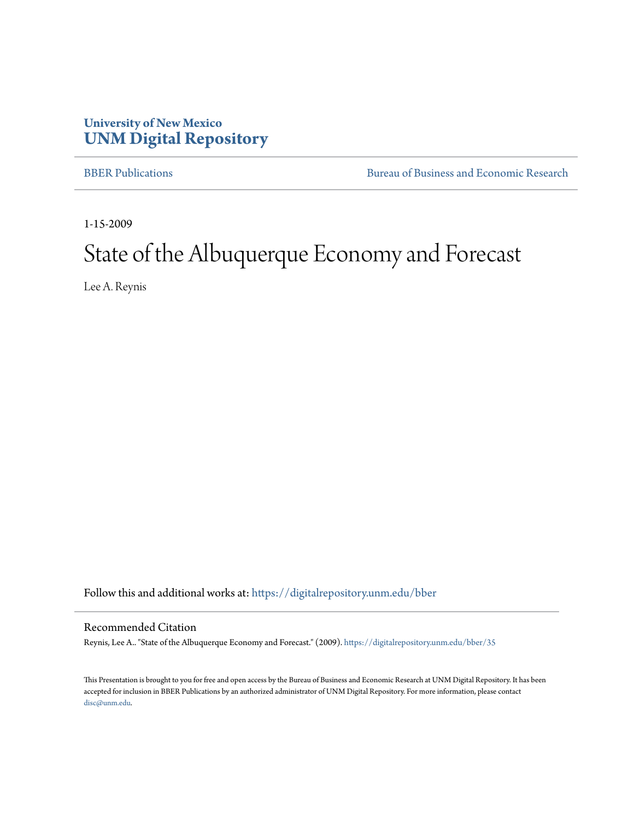### **University of New Mexico [UNM Digital Repository](https://digitalrepository.unm.edu?utm_source=digitalrepository.unm.edu%2Fbber%2F35&utm_medium=PDF&utm_campaign=PDFCoverPages)**

[BBER Publications](https://digitalrepository.unm.edu/bber?utm_source=digitalrepository.unm.edu%2Fbber%2F35&utm_medium=PDF&utm_campaign=PDFCoverPages) **BUREA** [Bureau of Business and Economic Research](https://digitalrepository.unm.edu/business_economic_research?utm_source=digitalrepository.unm.edu%2Fbber%2F35&utm_medium=PDF&utm_campaign=PDFCoverPages)

1-15-2009

# State of the Albuquerque Economy and Forecast

Lee A. Reynis

Follow this and additional works at: [https://digitalrepository.unm.edu/bber](https://digitalrepository.unm.edu/bber?utm_source=digitalrepository.unm.edu%2Fbber%2F35&utm_medium=PDF&utm_campaign=PDFCoverPages)

### Recommended Citation

Reynis, Lee A.. "State of the Albuquerque Economy and Forecast." (2009). [https://digitalrepository.unm.edu/bber/35](https://digitalrepository.unm.edu/bber/35?utm_source=digitalrepository.unm.edu%2Fbber%2F35&utm_medium=PDF&utm_campaign=PDFCoverPages)

This Presentation is brought to you for free and open access by the Bureau of Business and Economic Research at UNM Digital Repository. It has been accepted for inclusion in BBER Publications by an authorized administrator of UNM Digital Repository. For more information, please contact [disc@unm.edu](mailto:disc@unm.edu).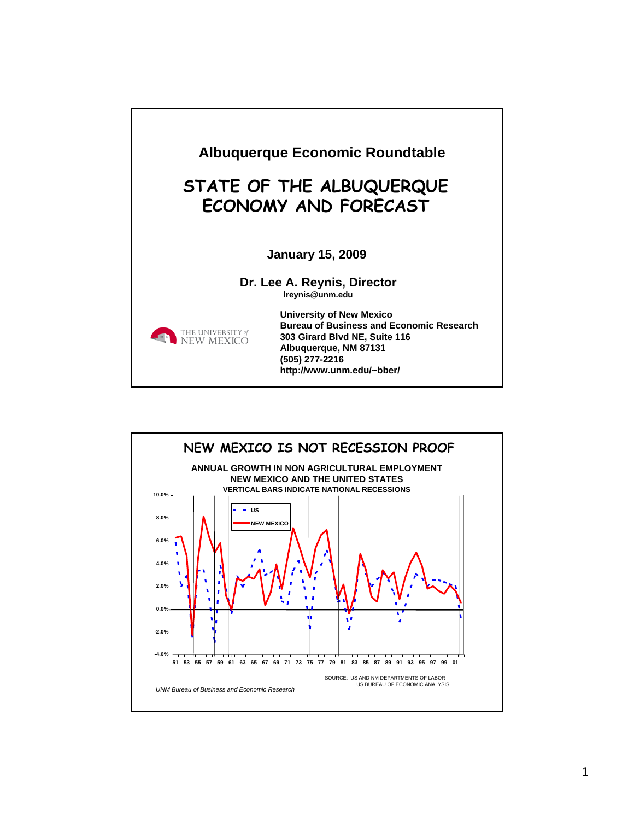

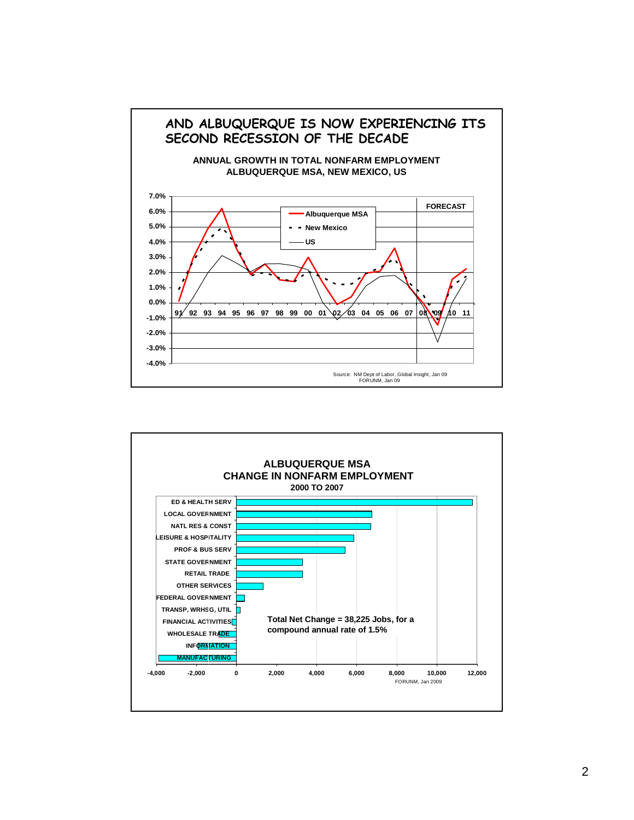

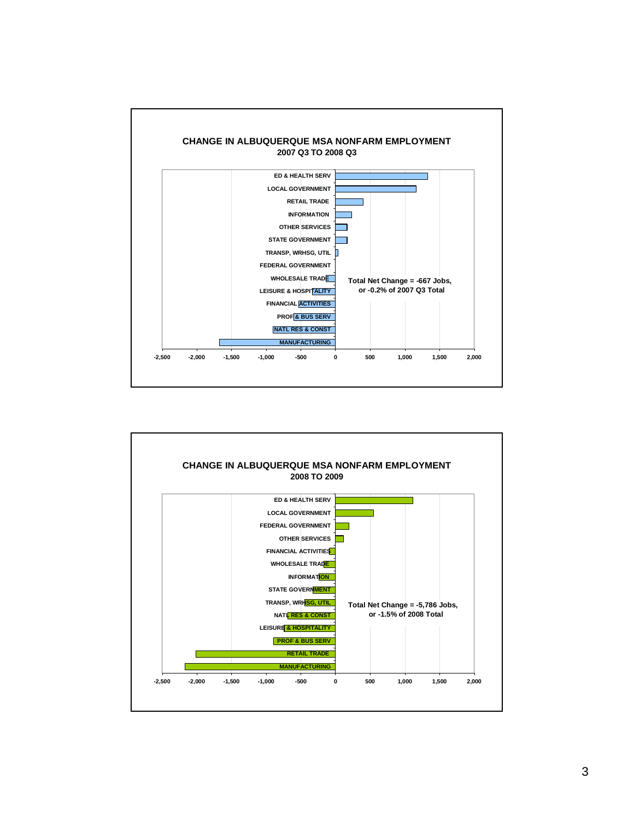

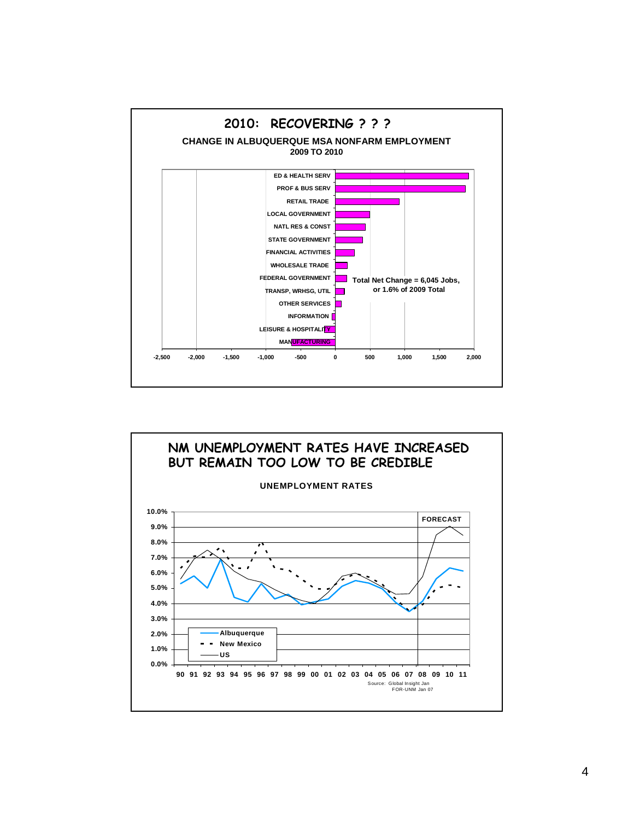

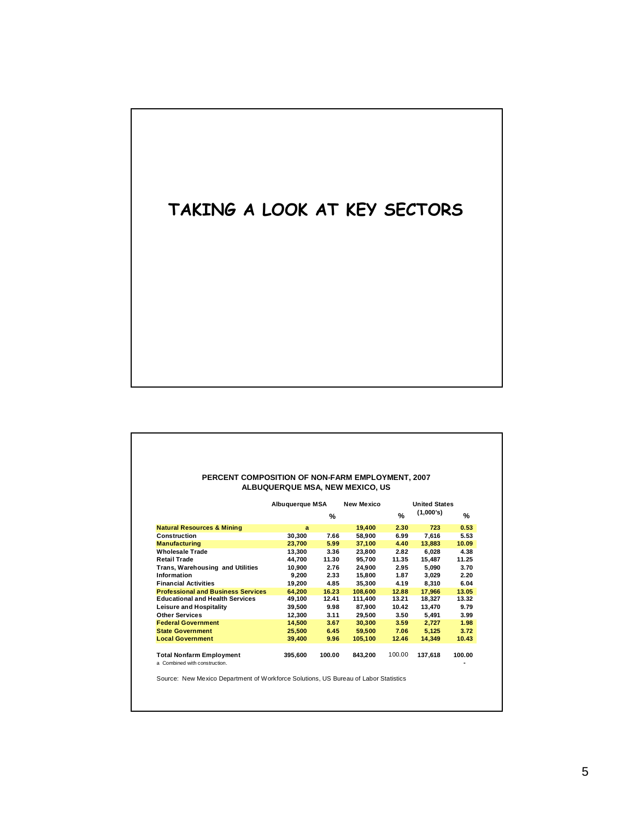# **TAKING A LOOK AT KEY SECTORS**

#### **PERCENT COMPOSITION OF NON-FARM EMPLOYMENT, 2007 ALBUQUERQUE MSA, NEW MEXICO, US**

|                                                                 | a       | %      |         | $\%$   | (1,000's) |        |
|-----------------------------------------------------------------|---------|--------|---------|--------|-----------|--------|
|                                                                 |         |        |         |        |           | %      |
| <b>Natural Resources &amp; Mining</b>                           |         |        | 19,400  | 2.30   | 723       | 0.53   |
| Construction                                                    | 30,300  | 7.66   | 58,900  | 6.99   | 7,616     | 5.53   |
| <b>Manufacturing</b>                                            | 23,700  | 5.99   | 37,100  | 4.40   | 13,883    | 10.09  |
| Wholesale Trade                                                 | 13,300  | 3.36   | 23,800  | 2.82   | 6,028     | 4.38   |
| <b>Retail Trade</b>                                             | 44.700  | 11.30  | 95.700  | 11.35  | 15.487    | 11.25  |
| Trans, Warehousing and Utilities                                | 10.900  | 2.76   | 24.900  | 2.95   | 5,090     | 3.70   |
| Information                                                     | 9.200   | 2.33   | 15.800  | 1.87   | 3,029     | 2.20   |
| <b>Financial Activities</b>                                     | 19,200  | 4.85   | 35,300  | 4.19   | 8,310     | 6.04   |
| <b>Professional and Business Services</b>                       | 64.200  | 16.23  | 108,600 | 12.88  | 17.966    | 13.05  |
| <b>Educational and Health Services</b>                          | 49,100  | 12.41  | 111,400 | 13.21  | 18,327    | 13.32  |
| <b>Leisure and Hospitality</b>                                  | 39,500  | 9.98   | 87,900  | 10.42  | 13,470    | 9.79   |
| <b>Other Services</b>                                           | 12.300  | 3.11   | 29,500  | 3.50   | 5,491     | 3.99   |
| <b>Federal Government</b>                                       | 14.500  | 3.67   | 30.300  | 3.59   | 2,727     | 1.98   |
| <b>State Government</b>                                         | 25,500  | 6.45   | 59,500  | 7.06   | 5,125     | 3.72   |
| <b>Local Government</b>                                         | 39,400  | 9.96   | 105,100 | 12.46  | 14.349    | 10.43  |
|                                                                 |         |        |         |        |           |        |
| <b>Total Nonfarm Employment</b><br>o Combinad with construction | 395,600 | 100.00 | 843,200 | 100.00 | 137,618   | 100.00 |

a Combined with construction. **-**

Source: New Mexico Department of Workforce Solutions, US Bureau of Labor Statistics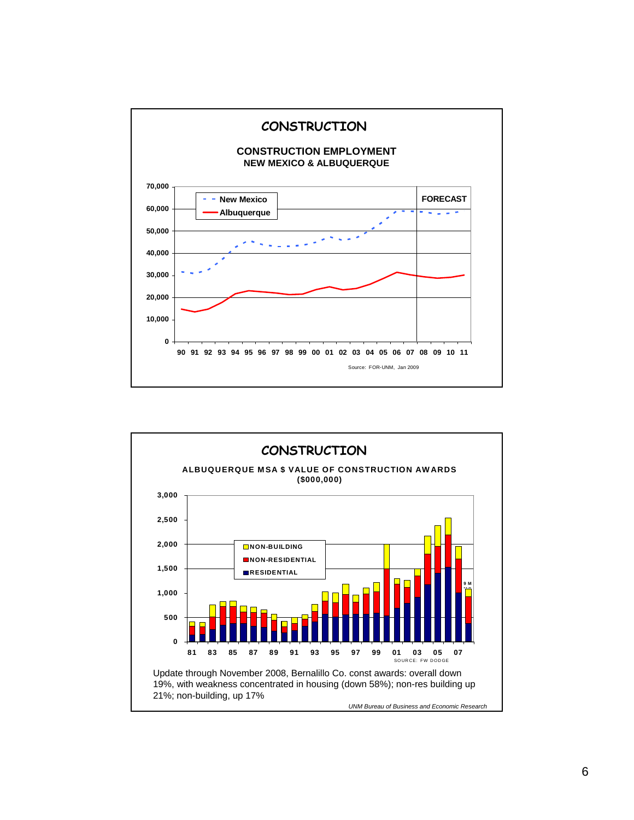

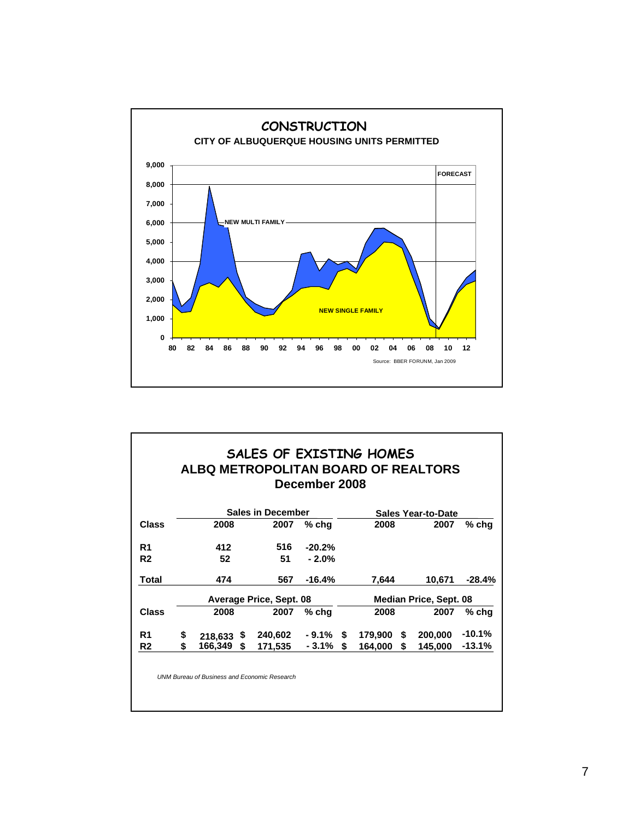

|                |                          |              |    | SALES OF EXISTING HOMES<br>ALBQ METROPOLITAN BOARD OF REALTORS | December 2008 |                               |         |   |         |          |
|----------------|--------------------------|--------------|----|----------------------------------------------------------------|---------------|-------------------------------|---------|---|---------|----------|
|                | <b>Sales in December</b> |              |    |                                                                |               | <b>Sales Year-to-Date</b>     |         |   |         |          |
| <b>Class</b>   |                          | 2008         |    | 2007                                                           | % chq         |                               | 2008    |   | 2007    | % chq    |
| R1             |                          | 412          |    | 516                                                            | $-20.2%$      |                               |         |   |         |          |
| R <sub>2</sub> |                          | 52           |    | 51                                                             | $-2.0%$       |                               |         |   |         |          |
| Total          |                          | 474          |    | 567                                                            | $-16.4%$      |                               | 7,644   |   | 10,671  | -28.4%   |
|                | Average Price, Sept. 08  |              |    |                                                                |               | <b>Median Price, Sept. 08</b> |         |   |         |          |
| <b>Class</b>   |                          | 2008         |    | 2007                                                           | % chq         |                               | 2008    |   | 2007    | % chq    |
| R1             | \$                       | $218,633$ \$ |    | 240,602                                                        | - 9.1%        | S                             | 179,900 | S | 200,000 | $-10.1%$ |
| R <sub>2</sub> | \$.                      | 166,349      | \$ | 171,535                                                        | - 3.1%        | \$                            | 164,000 | S | 145,000 | -13.1%   |

*UNM Bureau of Business and Economic Research*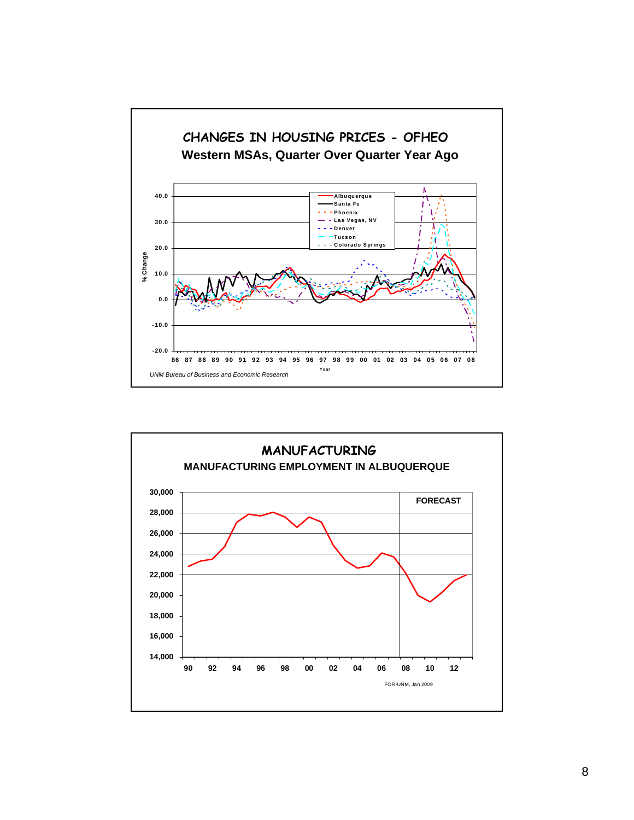

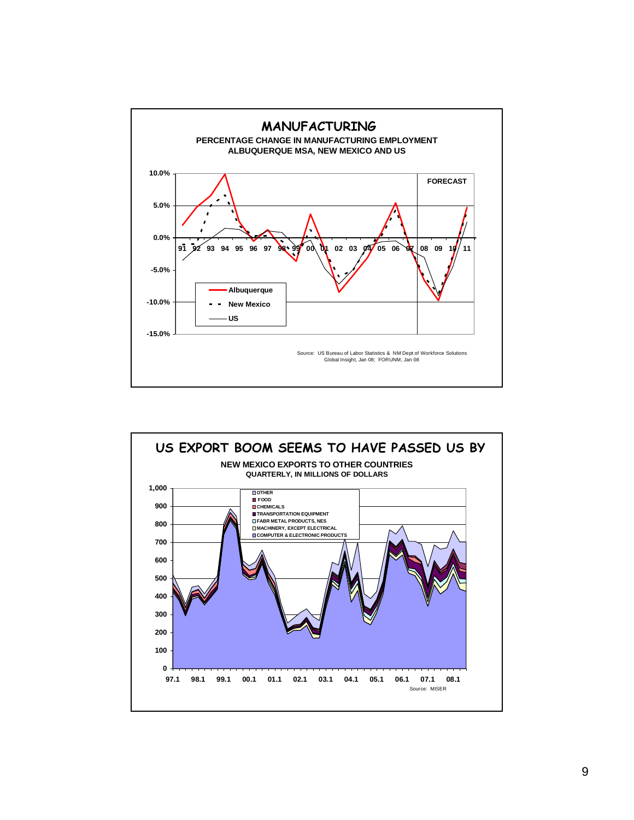

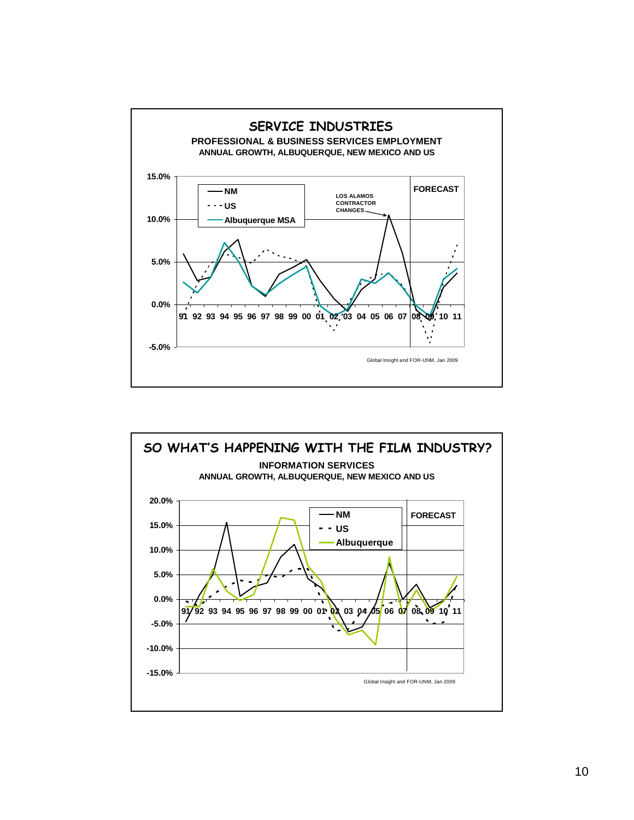

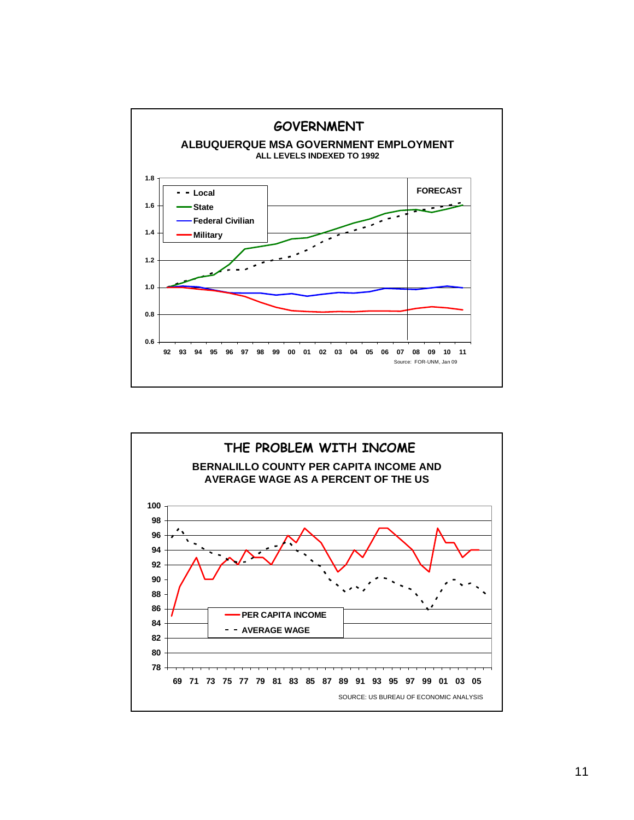